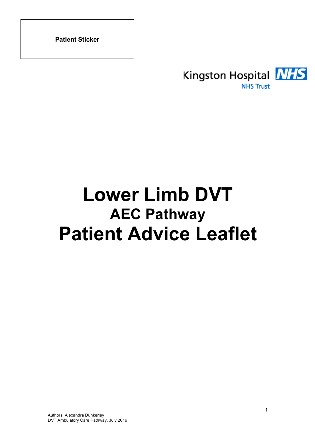**Patient Sticker**



# **Lower Limb DVT AEC Pathway Patient Advice Leaflet**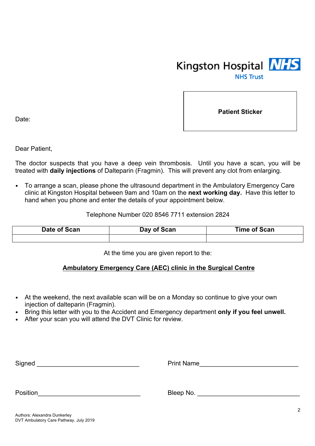

**Patient Sticker**

Date:

Dear Patient,

The doctor suspects that you have a deep vein thrombosis. Until you have a scan, you will be treated with **daily injections** of Dalteparin (Fragmin). This will prevent any clot from enlarging.

• To arrange a scan, please phone the ultrasound department in the Ambulatory Emergency Care clinic at Kingston Hospital between 9am and 10am on the **next working day.** Have this letter to hand when you phone and enter the details of your appointment below.

#### Telephone Number 020 8546 7711 extension 2824

| Date of Scan | Day of Scan | <b>Time of Scan</b> |
|--------------|-------------|---------------------|
|              |             |                     |

At the time you are given report to the:

# **Ambulatory Emergency Care (AEC) clinic in the Surgical Centre**

- At the weekend, the next available scan will be on a Monday so continue to give your own injection of dalteparin (Fragmin).
- Bring this letter with you to the Accident and Emergency department **only if you feel unwell.**
- After your scan you will attend the DVT Clinic for review.

Signed \_\_\_\_\_\_\_\_\_\_\_\_\_\_\_\_\_\_\_\_\_\_\_\_\_\_\_\_\_ Print Name\_\_\_\_\_\_\_\_\_\_\_\_\_\_\_\_\_\_\_\_\_\_\_\_\_\_\_\_

Position\_\_\_\_\_\_\_\_\_\_\_\_\_\_\_\_\_\_\_\_\_\_\_\_\_\_\_\_\_ Bleep No. \_\_\_\_\_\_\_\_\_\_\_\_\_\_\_\_\_\_\_\_\_\_\_\_\_\_\_\_\_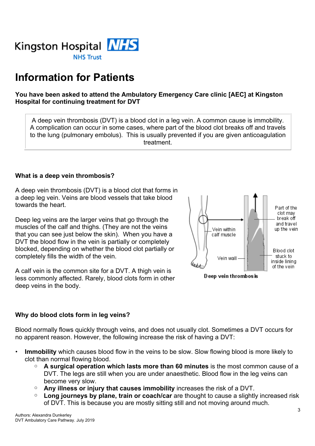

# **Information for Patients**

# **You have been asked to attend the Ambulatory Emergency Care clinic [AEC] at Kingston Hospital for continuing treatment for DVT**

A deep vein thrombosis (DVT) is a blood clot in a leg vein. A common cause is immobility. A complication can occur in some cases, where part of the blood clot breaks off and travels to the lung (pulmonary embolus). This is usually prevented if you are given anticoagulation treatment.

# **What is a deep vein thrombosis?**

A deep vein thrombosis (DVT) is a blood clot that forms in a deep leg vein. Veins are blood vessels that take blood towards the heart.

Deep leg veins are the larger veins that go through the muscles of the calf and thighs. (They are not the veins that you can see just below the skin). When you have a DVT the blood flow in the vein is partially or completely blocked, depending on whether the blood clot partially or completely fills the width of the vein.

A calf vein is the common site for a DVT. A thigh vein is less commonly affected. Rarely, blood clots form in other deep veins in the body.



Deep vein thrombosis

# **Why do blood clots form in leg veins?**

Blood normally flows quickly through veins, and does not usually clot. Sometimes a DVT occurs for no apparent reason. However, the following increase the risk of having a DVT:

- **Immobility** which causes blood flow in the veins to be slow. Slow flowing blood is more likely to clot than normal flowing blood.
	- o **A surgical operation which lasts more than 60 minutes** is the most common cause of a DVT. The legs are still when you are under anaesthetic. Blood flow in the leg veins can become very slow.
	- o **Any illness or injury that causes immobility** increases the risk of a DVT.
	- o **Long journeys by plane, train or coach/car** are thought to cause a slightly increased risk of DVT. This is because you are mostly sitting still and not moving around much.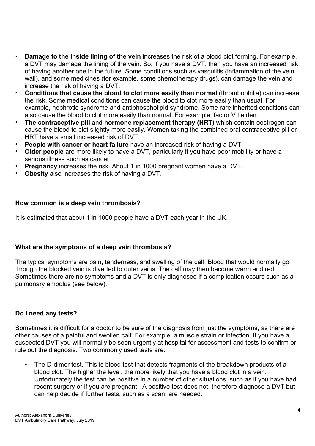- **Damage to the inside lining of the vein** increases the risk of a blood clot forming. For example, a DVT may damage the lining of the vein. So, if you have a DVT, then you have an increased risk of having another one in the future. Some conditions such as vasculitis (inflammation of the vein wall), and some medicines (for example, some chemotherapy drugs), can damage the vein and increase the risk of having a DVT.
- **Conditions that cause the blood to clot more easily than normal** (thrombophilia) can increase the risk. Some medical conditions can cause the blood to clot more easily than usual. For example, nephrotic syndrome and antiphospholipid syndrome. Some rare inherited conditions can also cause the blood to clot more easily than normal. For example, factor V Leiden.
- **The contraceptive pill** and **hormone replacement therapy (HRT)** which contain oestrogen can cause the blood to clot slightly more easily. Women taking the combined oral contraceptive pill or HRT have a small increased risk of DVT.
- **People with cancer or heart failure** have an increased risk of having a DVT.
- **Older people** are more likely to have a DVT, particularly if you have poor mobility or have a serious illness such as cancer.
- **Pregnancy** increases the risk. About 1 in 1000 pregnant women have a DVT.
- **Obesity** also increases the risk of having a DVT.

# **How common is a deep vein thrombosis?**

It is estimated that about 1 in 1000 people have a DVT each year in the UK.

#### **What are the symptoms of a deep vein thrombosis?**

The typical symptoms are pain, tenderness, and swelling of the calf. Blood that would normally go through the blocked vein is diverted to outer veins. The calf may then become warm and red. Sometimes there are no symptoms and a DVT is only diagnosed if a complication occurs such as a pulmonary embolus (see below).

#### **Do I need any tests?**

Sometimes it is difficult for a doctor to be sure of the diagnosis from just the symptoms, as there are other causes of a painful and swollen calf. For example, a muscle strain or infection. If you have a suspected DVT you will normally be seen urgently at hospital for assessment and tests to confirm or rule out the diagnosis. Two commonly used tests are:

The D-dimer test. This is blood test that detects fragments of the breakdown products of a blood clot. The higher the level, the more likely that you have a blood clot in a vein. Unfortunately the test can be positive in a number of other situations, such as if you have had recent surgery or if you are pregnant. A positive test does not, therefore diagnose a DVT but can help decide if further tests, such as a scan, are needed.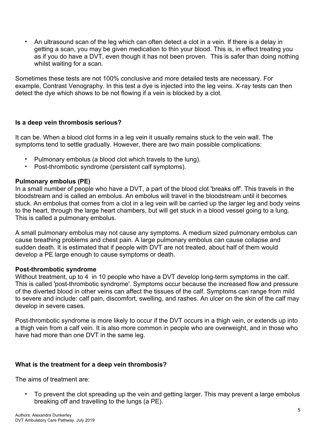• An ultrasound scan of the leg which can often detect a clot in a vein. If there is a delay in getting a scan, you may be given medication to thin your blood. This is, in effect treating you as if you do have a DVT, even though it has not been proven. This is safer than doing nothing whilst waiting for a scan.

Sometimes these tests are not 100% conclusive and more detailed tests are necessary. For example, Contrast Venography. In this test a dye is injected into the leg veins. X-ray tests can then detect the dye which shows to be not flowing if a vein is blocked by a clot.

# **Is a deep vein thrombosis serious?**

It can be. When a blood clot forms in a leg vein it usually remains stuck to the vein wall. The symptoms tend to settle gradually. However, there are two main possible complications:

- Pulmonary embolus (a blood clot which travels to the lung).
- Post-thrombotic syndrome (persistent calf symptoms).

#### **Pulmonary embolus (PE)**

In a small number of people who have a DVT, a part of the blood clot 'breaks off'. This travels in the bloodstream and is called an embolus. An embolus will travel in the bloodstream until it becomes stuck. An embolus that comes from a clot in a leg vein will be carried up the larger leg and body veins to the heart, through the large heart chambers, but will get stuck in a blood vessel going to a lung. This is called a pulmonary embolus.

A small pulmonary embolus may not cause any symptoms. A medium sized pulmonary embolus can cause breathing problems and chest pain. A large pulmonary embolus can cause collapse and sudden death. It is estimated that if people with DVT are not treated, about half of them would develop a PE large enough to cause symptoms or death.

#### **Post-thrombotic syndrome**

Without treatment, up to 4 in 10 people who have a DVT develop long-term symptoms in the calf. This is called 'post-thrombotic syndrome'. Symptoms occur because the increased flow and pressure of the diverted blood in other veins can affect the tissues of the calf. Symptoms can range from mild to severe and include: calf pain, discomfort, swelling, and rashes. An ulcer on the skin of the calf may develop in severe cases.

Post-thrombotic syndrome is more likely to occur if the DVT occurs in a thigh vein, or extends up into a thigh vein from a calf vein. It is also more common in people who are overweight, and in those who have had more than one DVT in the same leg.

#### **What is the treatment for a deep vein thrombosis?**

The aims of treatment are:

• To prevent the clot spreading up the vein and getting larger. This may prevent a large embolus breaking off and travelling to the lungs (a PE).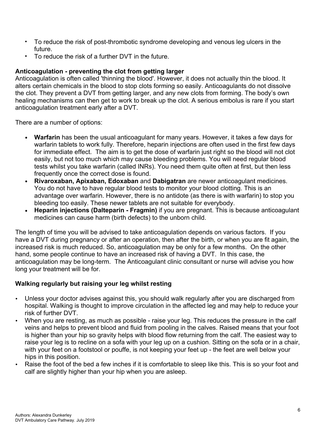- To reduce the risk of post-thrombotic syndrome developing and venous leg ulcers in the future.
- To reduce the risk of a further DVT in the future.

# **Anticoagulation - preventing the clot from getting larger**

Anticoagulation is often called 'thinning the blood'. However, it does not actually thin the blood. It alters certain chemicals in the blood to stop clots forming so easily. Anticoagulants do not dissolve the clot. They prevent a DVT from getting larger, and any new clots from forming. The body's own healing mechanisms can then get to work to break up the clot. A serious embolus is rare if you start anticoagulation treatment early after a DVT.

There are a number of options:

- **Warfarin** has been the usual anticoagulant for many years. However, it takes a few days for warfarin tablets to work fully. Therefore, heparin injections are often used in the first few days for immediate effect. The aim is to get the dose of warfarin just right so the blood will not clot easily, but not too much which may cause bleeding problems. You will need regular blood tests whilst you take warfarin (called INRs). You need them quite often at first, but then less frequently once the correct dose is found.
- **Rivaroxaban, Apixaban, Edoxaban** and **Dabigatran** are newer anticoagulant medicines. You do not have to have regular blood tests to monitor your blood clotting. This is an advantage over warfarin. However, there is no antidote (as there is with warfarin) to stop you bleeding too easily. These newer tablets are not suitable for everybody.
- **Heparin injections (Dalteparin - Fragmin)** if you are pregnant. This is because anticoagulant medicines can cause harm (birth defects) to the unborn child.

The length of time you will be advised to take anticoagulation depends on various factors. If you have a DVT during pregnancy or after an operation, then after the birth, or when you are fit again, the increased risk is much reduced. So, anticoagulation may be only for a few months. On the other hand, some people continue to have an increased risk of having a DVT. In this case, the anticoagulation may be long-term. The Anticoagulant clinic consultant or nurse will advise you how long your treatment will be for.

# **Walking regularly but raising your leg whilst resting**

- Unless your doctor advises against this, you should walk regularly after you are discharged from hospital. Walking is thought to improve circulation in the affected leg and may help to reduce your risk of further DVT.
- When you are resting, as much as possible raise your leg. This reduces the pressure in the calf veins and helps to prevent blood and fluid from pooling in the calves. Raised means that your foot is higher than your hip so gravity helps with blood flow returning from the calf. The easiest way to raise your leg is to recline on a sofa with your leg up on a cushion. Sitting on the sofa or in a chair, with your feet on a footstool or pouffe, is not keeping your feet up - the feet are well below your hips in this position.
- Raise the foot of the bed a few inches if it is comfortable to sleep like this. This is so your foot and calf are slightly higher than your hip when you are asleep.